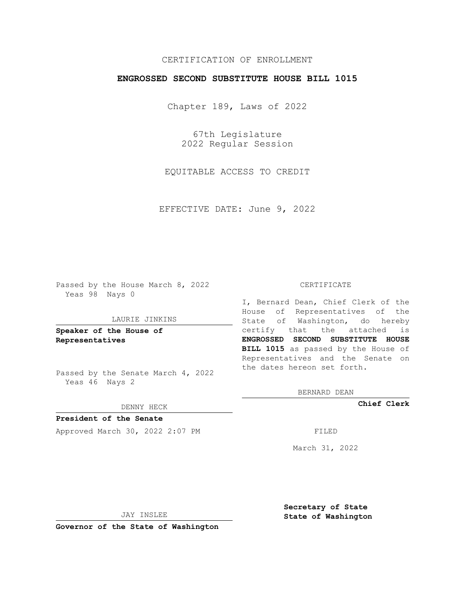## CERTIFICATION OF ENROLLMENT

## **ENGROSSED SECOND SUBSTITUTE HOUSE BILL 1015**

Chapter 189, Laws of 2022

67th Legislature 2022 Regular Session

EQUITABLE ACCESS TO CREDIT

EFFECTIVE DATE: June 9, 2022

Passed by the House March 8, 2022 Yeas 98 Nays 0

#### LAURIE JINKINS

**Speaker of the House of Representatives**

Passed by the Senate March 4, 2022 Yeas 46 Nays 2

#### DENNY HECK

**President of the Senate** Approved March 30, 2022 2:07 PM

#### CERTIFICATE

I, Bernard Dean, Chief Clerk of the House of Representatives of the State of Washington, do hereby certify that the attached is **ENGROSSED SECOND SUBSTITUTE HOUSE BILL 1015** as passed by the House of Representatives and the Senate on the dates hereon set forth.

BERNARD DEAN

**Chief Clerk**

March 31, 2022

JAY INSLEE

**Governor of the State of Washington**

**Secretary of State State of Washington**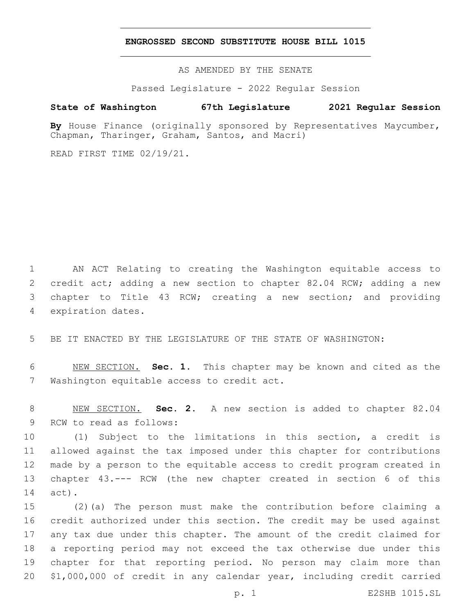### **ENGROSSED SECOND SUBSTITUTE HOUSE BILL 1015**

AS AMENDED BY THE SENATE

Passed Legislature - 2022 Regular Session

# **State of Washington 67th Legislature 2021 Regular Session**

By House Finance (originally sponsored by Representatives Maycumber, Chapman, Tharinger, Graham, Santos, and Macri)

READ FIRST TIME 02/19/21.

 AN ACT Relating to creating the Washington equitable access to credit act; adding a new section to chapter 82.04 RCW; adding a new chapter to Title 43 RCW; creating a new section; and providing 4 expiration dates.

BE IT ENACTED BY THE LEGISLATURE OF THE STATE OF WASHINGTON:

 NEW SECTION. **Sec. 1.** This chapter may be known and cited as the Washington equitable access to credit act.

 NEW SECTION. **Sec. 2.** A new section is added to chapter 82.04 9 RCW to read as follows:

 (1) Subject to the limitations in this section, a credit is allowed against the tax imposed under this chapter for contributions made by a person to the equitable access to credit program created in chapter 43.--- RCW (the new chapter created in section 6 of this 14 act).

 (2)(a) The person must make the contribution before claiming a credit authorized under this section. The credit may be used against any tax due under this chapter. The amount of the credit claimed for a reporting period may not exceed the tax otherwise due under this chapter for that reporting period. No person may claim more than \$1,000,000 of credit in any calendar year, including credit carried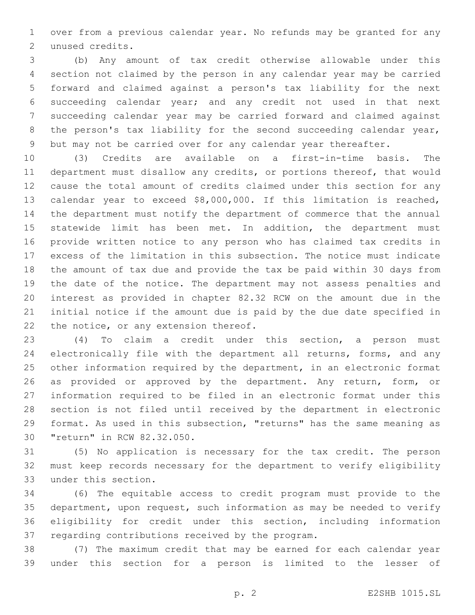over from a previous calendar year. No refunds may be granted for any 2 unused credits.

 (b) Any amount of tax credit otherwise allowable under this section not claimed by the person in any calendar year may be carried forward and claimed against a person's tax liability for the next succeeding calendar year; and any credit not used in that next succeeding calendar year may be carried forward and claimed against the person's tax liability for the second succeeding calendar year, but may not be carried over for any calendar year thereafter.

 (3) Credits are available on a first-in-time basis. The department must disallow any credits, or portions thereof, that would cause the total amount of credits claimed under this section for any calendar year to exceed \$8,000,000. If this limitation is reached, the department must notify the department of commerce that the annual statewide limit has been met. In addition, the department must provide written notice to any person who has claimed tax credits in excess of the limitation in this subsection. The notice must indicate the amount of tax due and provide the tax be paid within 30 days from the date of the notice. The department may not assess penalties and interest as provided in chapter 82.32 RCW on the amount due in the initial notice if the amount due is paid by the due date specified in 22 the notice, or any extension thereof.

 (4) To claim a credit under this section, a person must electronically file with the department all returns, forms, and any other information required by the department, in an electronic format 26 as provided or approved by the department. Any return, form, or information required to be filed in an electronic format under this section is not filed until received by the department in electronic format. As used in this subsection, "returns" has the same meaning as 30 "return" in RCW 82.32.050.

 (5) No application is necessary for the tax credit. The person must keep records necessary for the department to verify eligibility 33 under this section.

 (6) The equitable access to credit program must provide to the department, upon request, such information as may be needed to verify eligibility for credit under this section, including information 37 regarding contributions received by the program.

 (7) The maximum credit that may be earned for each calendar year under this section for a person is limited to the lesser of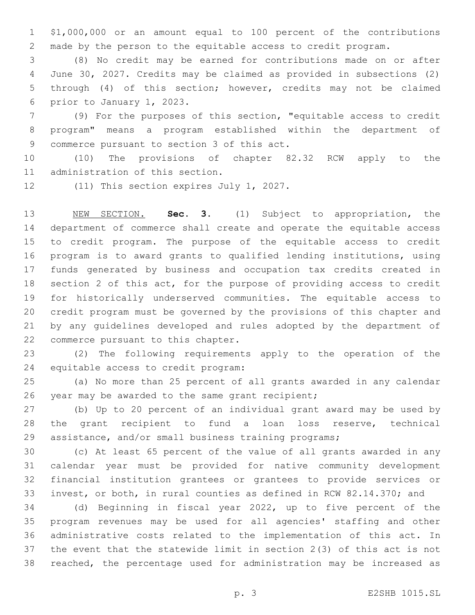\$1,000,000 or an amount equal to 100 percent of the contributions made by the person to the equitable access to credit program.

 (8) No credit may be earned for contributions made on or after June 30, 2027. Credits may be claimed as provided in subsections (2) through (4) of this section; however, credits may not be claimed 6 prior to January 1, 2023.

 (9) For the purposes of this section, "equitable access to credit program" means a program established within the department of 9 commerce pursuant to section 3 of this act.

 (10) The provisions of chapter 82.32 RCW apply to the 11 administration of this section.

12 (11) This section expires July 1, 2027.

 NEW SECTION. **Sec. 3.** (1) Subject to appropriation, the department of commerce shall create and operate the equitable access to credit program. The purpose of the equitable access to credit program is to award grants to qualified lending institutions, using funds generated by business and occupation tax credits created in section 2 of this act, for the purpose of providing access to credit for historically underserved communities. The equitable access to credit program must be governed by the provisions of this chapter and by any guidelines developed and rules adopted by the department of commerce pursuant to this chapter.

 (2) The following requirements apply to the operation of the 24 equitable access to credit program:

 (a) No more than 25 percent of all grants awarded in any calendar 26 year may be awarded to the same grant recipient;

 (b) Up to 20 percent of an individual grant award may be used by the grant recipient to fund a loan loss reserve, technical assistance, and/or small business training programs;

 (c) At least 65 percent of the value of all grants awarded in any calendar year must be provided for native community development financial institution grantees or grantees to provide services or invest, or both, in rural counties as defined in RCW 82.14.370; and

 (d) Beginning in fiscal year 2022, up to five percent of the program revenues may be used for all agencies' staffing and other administrative costs related to the implementation of this act. In the event that the statewide limit in section 2(3) of this act is not reached, the percentage used for administration may be increased as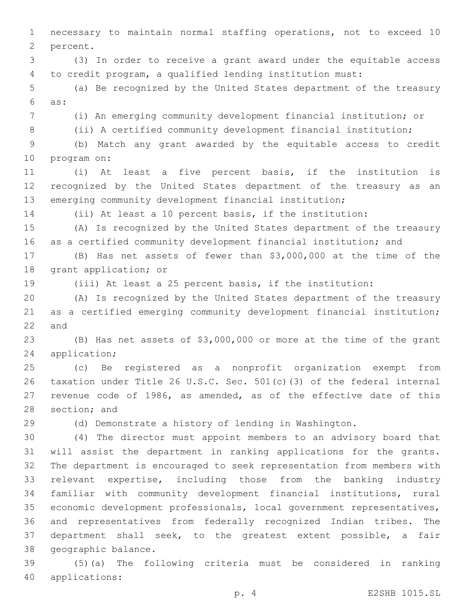necessary to maintain normal staffing operations, not to exceed 10 2 percent. (3) In order to receive a grant award under the equitable access to credit program, a qualified lending institution must: (a) Be recognized by the United States department of the treasury as:6 (i) An emerging community development financial institution; or (ii) A certified community development financial institution; (b) Match any grant awarded by the equitable access to credit 10 program on: (i) At least a five percent basis, if the institution is recognized by the United States department of the treasury as an emerging community development financial institution; (ii) At least a 10 percent basis, if the institution: (A) Is recognized by the United States department of the treasury as a certified community development financial institution; and (B) Has net assets of fewer than \$3,000,000 at the time of the 18 grant application; or (iii) At least a 25 percent basis, if the institution: (A) Is recognized by the United States department of the treasury as a certified emerging community development financial institution; and (B) Has net assets of \$3,000,000 or more at the time of the grant 24 application; (c) Be registered as a nonprofit organization exempt from taxation under Title 26 U.S.C. Sec. 501(c)(3) of the federal internal revenue code of 1986, as amended, as of the effective date of this 28 section; and (d) Demonstrate a history of lending in Washington. (4) The director must appoint members to an advisory board that will assist the department in ranking applications for the grants. The department is encouraged to seek representation from members with

 relevant expertise, including those from the banking industry familiar with community development financial institutions, rural economic development professionals, local government representatives, and representatives from federally recognized Indian tribes. The department shall seek, to the greatest extent possible, a fair 38 geographic balance.

 (5)(a) The following criteria must be considered in ranking applications:40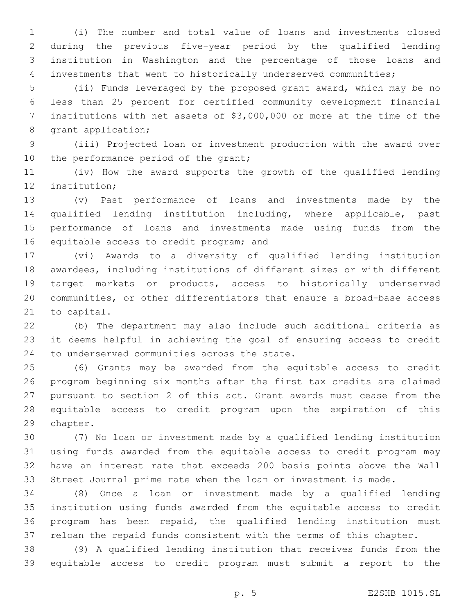(i) The number and total value of loans and investments closed during the previous five-year period by the qualified lending institution in Washington and the percentage of those loans and investments that went to historically underserved communities;

 (ii) Funds leveraged by the proposed grant award, which may be no less than 25 percent for certified community development financial institutions with net assets of \$3,000,000 or more at the time of the 8 grant application;

 (iii) Projected loan or investment production with the award over 10 the performance period of the grant;

 (iv) How the award supports the growth of the qualified lending 12 institution:

 (v) Past performance of loans and investments made by the qualified lending institution including, where applicable, past performance of loans and investments made using funds from the 16 equitable access to credit program; and

 (vi) Awards to a diversity of qualified lending institution awardees, including institutions of different sizes or with different target markets or products, access to historically underserved communities, or other differentiators that ensure a broad-base access 21 to capital.

 (b) The department may also include such additional criteria as it deems helpful in achieving the goal of ensuring access to credit 24 to underserved communities across the state.

 (6) Grants may be awarded from the equitable access to credit program beginning six months after the first tax credits are claimed pursuant to section 2 of this act. Grant awards must cease from the equitable access to credit program upon the expiration of this 29 chapter.

 (7) No loan or investment made by a qualified lending institution using funds awarded from the equitable access to credit program may have an interest rate that exceeds 200 basis points above the Wall Street Journal prime rate when the loan or investment is made.

 (8) Once a loan or investment made by a qualified lending institution using funds awarded from the equitable access to credit program has been repaid, the qualified lending institution must reloan the repaid funds consistent with the terms of this chapter.

 (9) A qualified lending institution that receives funds from the equitable access to credit program must submit a report to the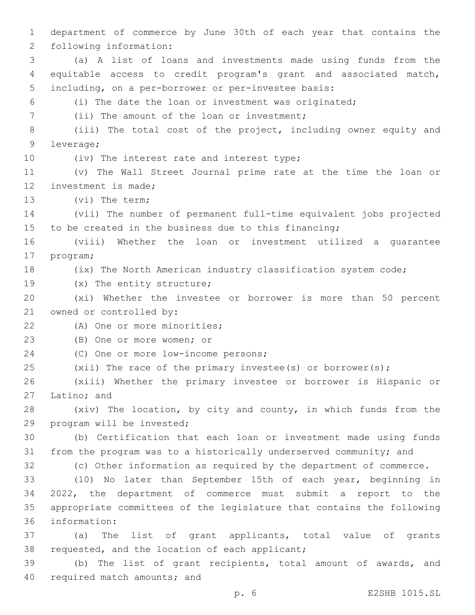1 department of commerce by June 30th of each year that contains the 2 following information: 3 (a) A list of loans and investments made using funds from the 4 equitable access to credit program's grant and associated match, 5 including, on a per-borrower or per-investee basis: 6 (i) The date the loan or investment was originated; 7 (ii) The amount of the loan or investment; 8 (iii) The total cost of the project, including owner equity and 9 leverage; 10 (iv) The interest rate and interest type; 11 (v) The Wall Street Journal prime rate at the time the loan or 12 investment is made; 13 (vi) The term; 14 (vii) The number of permanent full-time equivalent jobs projected 15 to be created in the business due to this financing; 16 (viii) Whether the loan or investment utilized a guarantee 17 program; 18 (ix) The North American industry classification system code; 19 (x) The entity structure; 20 (xi) Whether the investee or borrower is more than 50 percent 21 owned or controlled by: 22 (A) One or more minorities; 23 (B) One or more women; or 24 (C) One or more low-income persons; 25 (xii) The race of the primary investee(s) or borrower(s); 26 (xiii) Whether the primary investee or borrower is Hispanic or 27 Latino; and 28 (xiv) The location, by city and county, in which funds from the 29 program will be invested; 30 (b) Certification that each loan or investment made using funds 31 from the program was to a historically underserved community; and 32 (c) Other information as required by the department of commerce. 33 (10) No later than September 15th of each year, beginning in 34 2022, the department of commerce must submit a report to the 35 appropriate committees of the legislature that contains the following information:36 37 (a) The list of grant applicants, total value of grants 38 requested, and the location of each applicant; 39 (b) The list of grant recipients, total amount of awards, and 40 required match amounts; and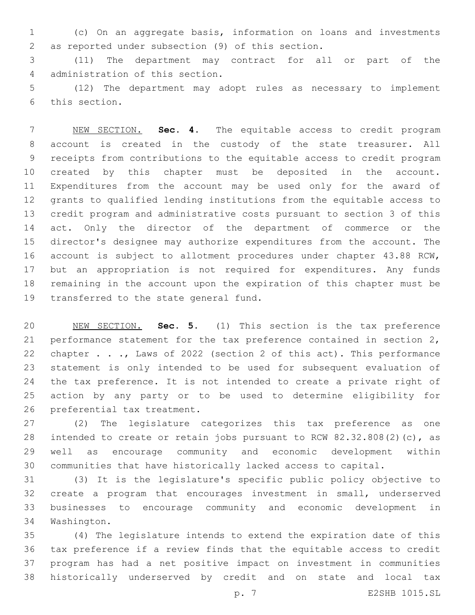(c) On an aggregate basis, information on loans and investments as reported under subsection (9) of this section.2

 (11) The department may contract for all or part of the 4 administration of this section.

 (12) The department may adopt rules as necessary to implement 6 this section.

 NEW SECTION. **Sec. 4.** The equitable access to credit program account is created in the custody of the state treasurer. All receipts from contributions to the equitable access to credit program created by this chapter must be deposited in the account. Expenditures from the account may be used only for the award of grants to qualified lending institutions from the equitable access to credit program and administrative costs pursuant to section 3 of this 14 act. Only the director of the department of commerce or the director's designee may authorize expenditures from the account. The account is subject to allotment procedures under chapter 43.88 RCW, but an appropriation is not required for expenditures. Any funds remaining in the account upon the expiration of this chapter must be transferred to the state general fund.

 NEW SECTION. **Sec. 5.** (1) This section is the tax preference performance statement for the tax preference contained in section 2, 22 chapter . . ., Laws of 2022 (section 2 of this act). This performance statement is only intended to be used for subsequent evaluation of the tax preference. It is not intended to create a private right of action by any party or to be used to determine eligibility for preferential tax treatment.

 (2) The legislature categorizes this tax preference as one intended to create or retain jobs pursuant to RCW 82.32.808(2)(c), as well as encourage community and economic development within communities that have historically lacked access to capital.

 (3) It is the legislature's specific public policy objective to create a program that encourages investment in small, underserved businesses to encourage community and economic development in 34 Washington.

 (4) The legislature intends to extend the expiration date of this tax preference if a review finds that the equitable access to credit program has had a net positive impact on investment in communities historically underserved by credit and on state and local tax

p. 7 E2SHB 1015.SL